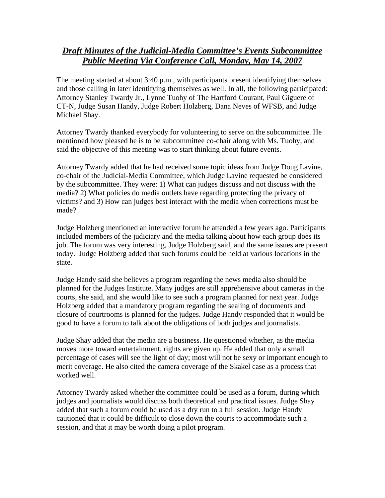## *Draft Minutes of the Judicial-Media Committee's Events Subcommittee Public Meeting Via Conference Call, Monday, May 14, 2007*

The meeting started at about 3:40 p.m., with participants present identifying themselves and those calling in later identifying themselves as well. In all, the following participated: Attorney Stanley Twardy Jr., Lynne Tuohy of The Hartford Courant, Paul Giguere of CT-N, Judge Susan Handy, Judge Robert Holzberg, Dana Neves of WFSB, and Judge Michael Shay.

Attorney Twardy thanked everybody for volunteering to serve on the subcommittee. He mentioned how pleased he is to be subcommittee co-chair along with Ms. Tuohy, and said the objective of this meeting was to start thinking about future events.

Attorney Twardy added that he had received some topic ideas from Judge Doug Lavine, co-chair of the Judicial-Media Committee, which Judge Lavine requested be considered by the subcommittee. They were: 1) What can judges discuss and not discuss with the media? 2) What policies do media outlets have regarding protecting the privacy of victims? and 3) How can judges best interact with the media when corrections must be made?

Judge Holzberg mentioned an interactive forum he attended a few years ago. Participants included members of the judiciary and the media talking about how each group does its job. The forum was very interesting, Judge Holzberg said, and the same issues are present today. Judge Holzberg added that such forums could be held at various locations in the state.

Judge Handy said she believes a program regarding the news media also should be planned for the Judges Institute. Many judges are still apprehensive about cameras in the courts, she said, and she would like to see such a program planned for next year. Judge Holzberg added that a mandatory program regarding the sealing of documents and closure of courtrooms is planned for the judges. Judge Handy responded that it would be good to have a forum to talk about the obligations of both judges and journalists.

Judge Shay added that the media are a business. He questioned whether, as the media moves more toward entertainment, rights are given up. He added that only a small percentage of cases will see the light of day; most will not be sexy or important enough to merit coverage. He also cited the camera coverage of the Skakel case as a process that worked well.

Attorney Twardy asked whether the committee could be used as a forum, during which judges and journalists would discuss both theoretical and practical issues. Judge Shay added that such a forum could be used as a dry run to a full session. Judge Handy cautioned that it could be difficult to close down the courts to accommodate such a session, and that it may be worth doing a pilot program.